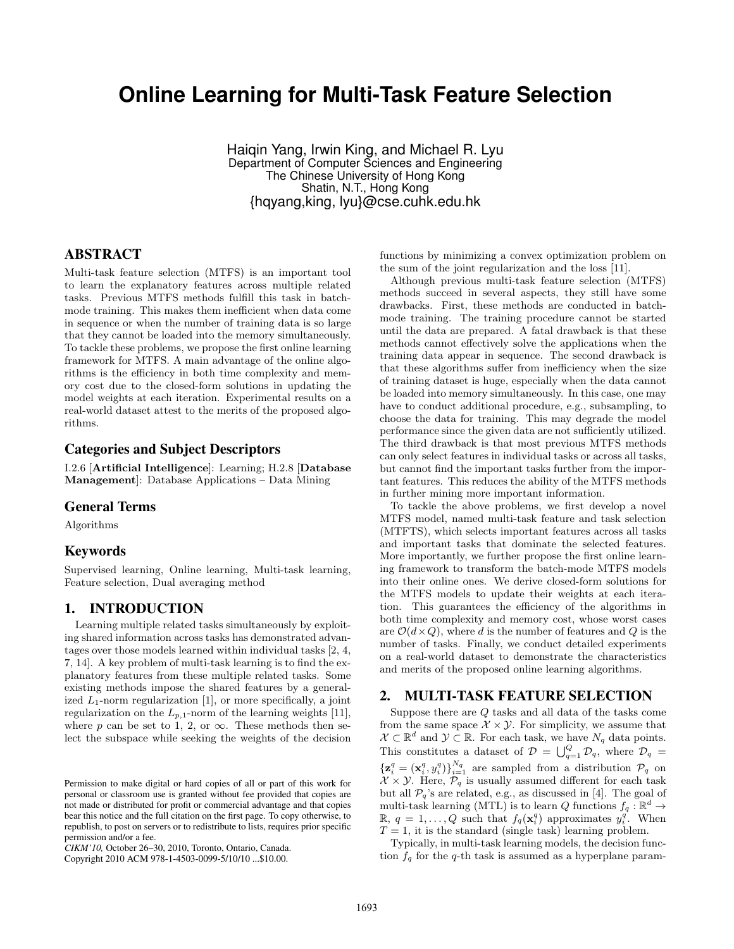# **Online Learning for Multi-Task Feature Selection**

Haiqin Yang, Irwin King, and Michael R. Lyu Department of Computer Sciences and Engineering The Chinese University of Hong Kong Shatin, N.T., Hong Kong {hqyang,king, lyu}@cse.cuhk.edu.hk

# ABSTRACT

Multi-task feature selection (MTFS) is an important tool to learn the explanatory features across multiple related tasks. Previous MTFS methods fulfill this task in batchmode training. This makes them inefficient when data come in sequence or when the number of training data is so large that they cannot be loaded into the memory simultaneously. To tackle these problems, we propose the first online learning framework for MTFS. A main advantage of the online algorithms is the efficiency in both time complexity and memory cost due to the closed-form solutions in updating the model weights at each iteration. Experimental results on a real-world dataset attest to the merits of the proposed algorithms.

### Categories and Subject Descriptors

I.2.6 [Artificial Intelligence]: Learning; H.2.8 [Database Management]: Database Applications – Data Mining

### General Terms

Algorithms

#### Keywords

Supervised learning, Online learning, Multi-task learning, Feature selection, Dual averaging method

### 1. INTRODUCTION

Learning multiple related tasks simultaneously by exploiting shared information across tasks has demonstrated advantages over those models learned within individual tasks [2, 4, 7, 14]. A key problem of multi-task learning is to find the explanatory features from these multiple related tasks. Some existing methods impose the shared features by a generalized  $L_1$ -norm regularization [1], or more specifically, a joint regularization on the  $L_{p,1}$ -norm of the learning weights [11], where  $p$  can be set to 1, 2, or  $\infty$ . These methods then select the subspace while seeking the weights of the decision functions by minimizing a convex optimization problem on the sum of the joint regularization and the loss [11].

Although previous multi-task feature selection (MTFS) methods succeed in several aspects, they still have some drawbacks. First, these methods are conducted in batchmode training. The training procedure cannot be started until the data are prepared. A fatal drawback is that these methods cannot effectively solve the applications when the training data appear in sequence. The second drawback is that these algorithms suffer from inefficiency when the size of training dataset is huge, especially when the data cannot be loaded into memory simultaneously. In this case, one may have to conduct additional procedure, e.g., subsampling, to choose the data for training. This may degrade the model performance since the given data are not sufficiently utilized. The third drawback is that most previous MTFS methods can only select features in individual tasks or across all tasks, but cannot find the important tasks further from the important features. This reduces the ability of the MTFS methods in further mining more important information.

To tackle the above problems, we first develop a novel MTFS model, named multi-task feature and task selection (MTFTS), which selects important features across all tasks and important tasks that dominate the selected features. More importantly, we further propose the first online learning framework to transform the batch-mode MTFS models into their online ones. We derive closed-form solutions for the MTFS models to update their weights at each iteration. This guarantees the efficiency of the algorithms in both time complexity and memory cost, whose worst cases are  $\mathcal{O}(d \times Q)$ , where d is the number of features and Q is the number of tasks. Finally, we conduct detailed experiments on a real-world dataset to demonstrate the characteristics and merits of the proposed online learning algorithms.

## 2. MULTI-TASK FEATURE SELECTION

Suppose there are  $Q$  tasks and all data of the tasks come from the same space  $\mathcal{X} \times \mathcal{Y}$ . For simplicity, we assume that  $\mathcal{X} \subset \mathbb{R}^d$  and  $\mathcal{Y} \subset \mathbb{R}$ . For each task, we have  $N_q$  data points. This constitutes a dataset of  $\mathcal{D} = \bigcup_{q=1}^{Q} \mathcal{D}_q$ , where  $\mathcal{D}_q =$  $\{\mathbf z_i^q = (\mathbf x_i^q, y_i^q)\}_{i=1}^{N_q}$  are sampled from a distribution  $\mathcal{P}_q$  on  $\mathcal{X} \times \mathcal{Y}$ . Here,  $\mathcal{P}_q$  is usually assumed different for each task but all  $\mathcal{P}_q$ 's are related, e.g., as discussed in [4]. The goal of multi-task learning (MTL) is to learn Q functions  $f_q : \mathbb{R}^d \to$  $\mathbb{R}, q = 1, \ldots, Q$  such that  $f_q(\mathbf{x}_i^q)$  approximates  $y_i^q$ . When  $T = 1$ , it is the standard (single task) learning problem.

Typically, in multi-task learning models, the decision function  $f_q$  for the q-th task is assumed as a hyperplane param-

Permission to make digital or hard copies of all or part of this work for personal or classroom use is granted without fee provided that copies are not made or distributed for profit or commercial advantage and that copies bear this notice and the full citation on the first page. To copy otherwise, to republish, to post on servers or to redistribute to lists, requires prior specific permission and/or a fee.

*CIKM'10,* October 26–30, 2010, Toronto, Ontario, Canada.

Copyright 2010 ACM 978-1-4503-0099-5/10/10 ...\$10.00.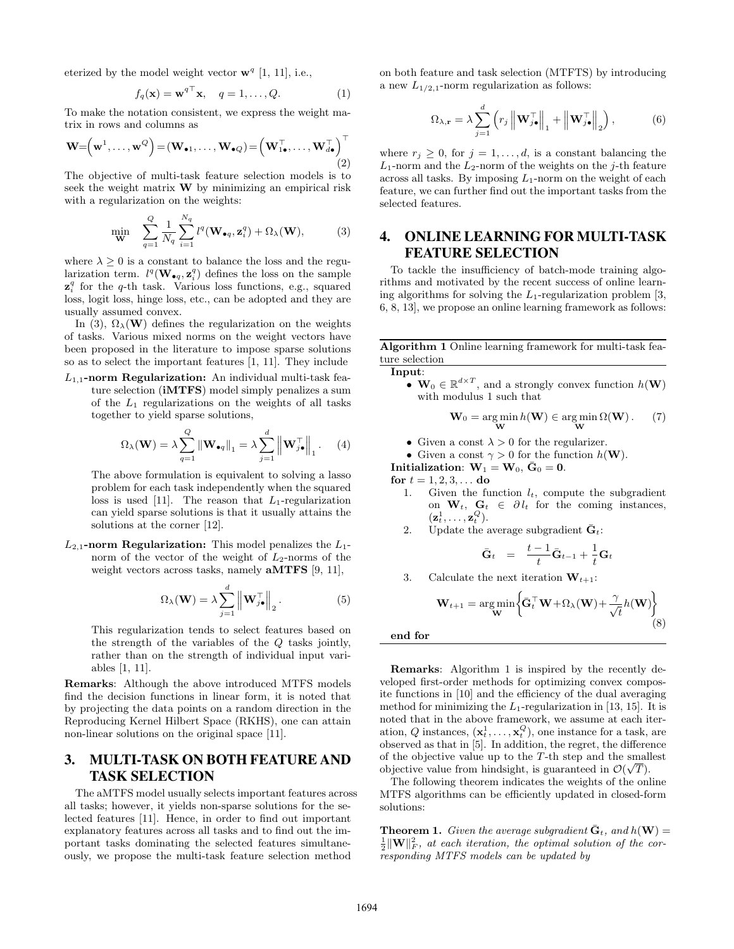eterized by the model weight vector  $\mathbf{w}^{q}$  [1, 11], i.e.,

$$
f_q(\mathbf{x}) = \mathbf{w}^{q\top} \mathbf{x}, \quad q = 1, \dots, Q.
$$
 (1)

To make the notation consistent, we express the weight matrix in rows and columns as

$$
\mathbf{W} = (\mathbf{w}^1, \dots, \mathbf{w}^Q) = (\mathbf{W}_{\bullet 1}, \dots, \mathbf{W}_{\bullet Q}) = (\mathbf{W}_{1\bullet}^\top, \dots, \mathbf{W}_{d\bullet}^\top)^\top
$$
\n(2)

The objective of multi-task feature selection models is to seek the weight matrix **W** by minimizing an empirical risk with a regularization on the weights:

$$
\min_{\mathbf{W}} \quad \sum_{q=1}^{Q} \frac{1}{N_q} \sum_{i=1}^{N_q} l^q(\mathbf{W}_{\bullet q}, \mathbf{z}_i^q) + \Omega_{\lambda}(\mathbf{W}), \tag{3}
$$

where  $\lambda \geq 0$  is a constant to balance the loss and the regularization term.  $l^q(\mathbf{W}_{\bullet q}, \mathbf{z}_i^q)$  defines the loss on the sample  $\mathbf{z}_i^q$  for the q-th task. Various loss functions, e.g., squared loss, logit loss, hinge loss, etc., can be adopted and they are usually assumed convex.

In (3),  $\Omega_{\lambda}(\mathbf{W})$  defines the regularization on the weights of tasks. Various mixed norms on the weight vectors have been proposed in the literature to impose sparse solutions so as to select the important features [1, 11]. They include

 $L_{1,1}$ -norm Regularization: An individual multi-task feature selection (iMTFS) model simply penalizes a sum of the  $L_1$  regularizations on the weights of all tasks together to yield sparse solutions,

$$
\Omega_{\lambda}(\mathbf{W}) = \lambda \sum_{q=1}^{Q} \|\mathbf{W}_{\bullet q}\|_{1} = \lambda \sum_{j=1}^{d} \left\|\mathbf{W}_{j\bullet}^{\top}\right\|_{1}.
$$
 (4)

The above formulation is equivalent to solving a lasso problem for each task independently when the squared loss is used [11]. The reason that  $L_1$ -regularization can yield sparse solutions is that it usually attains the solutions at the corner [12].

 $L_{2,1}$ -norm Regularization: This model penalizes the  $L_1$ norm of the vector of the weight of  $L_2$ -norms of the weight vectors across tasks, namely **aMTFS** [9, 11],

$$
\Omega_{\lambda}(\mathbf{W}) = \lambda \sum_{j=1}^{d} \left\| \mathbf{W}_{j\bullet}^{\top} \right\|_{2}.
$$
 (5)

This regularization tends to select features based on the strength of the variables of the  $Q$  tasks jointly, rather than on the strength of individual input variables [1, 11].

Remarks: Although the above introduced MTFS models find the decision functions in linear form, it is noted that by projecting the data points on a random direction in the Reproducing Kernel Hilbert Space (RKHS), one can attain non-linear solutions on the original space [11].

# 3. MULTI-TASK ON BOTH FEATURE AND TASK SELECTION

The aMTFS model usually selects important features across all tasks; however, it yields non-sparse solutions for the selected features [11]. Hence, in order to find out important explanatory features across all tasks and to find out the important tasks dominating the selected features simultaneously, we propose the multi-task feature selection method

on both feature and task selection (MTFTS) by introducing a new  $L_{1/2,1}$ -norm regularization as follows:

$$
\Omega_{\lambda, \mathbf{r}} = \lambda \sum_{j=1}^{d} \left( r_j \left\| \mathbf{W}_{j\bullet}^{\top} \right\|_1 + \left\| \mathbf{W}_{j\bullet}^{\top} \right\|_2 \right), \tag{6}
$$

where  $r_j \geq 0$ , for  $j = 1, \ldots, d$ , is a constant balancing the  $L_1$ -norm and the  $L_2$ -norm of the weights on the j-th feature across all tasks. By imposing  $L_1$ -norm on the weight of each feature, we can further find out the important tasks from the selected features.

# 4. ONLINE LEARNING FOR MULTI-TASK FEATURE SELECTION

To tackle the insufficiency of batch-mode training algorithms and motivated by the recent success of online learning algorithms for solving the  $L_1$ -regularization problem [3, 6, 8, 13], we propose an online learning framework as follows:

Algorithm 1 Online learning framework for multi-task feature selection Input:

•  $\mathbf{W}_0 \in \mathbb{R}^{d \times T}$ , and a strongly convex function  $h(\mathbf{W})$ with modulus 1 such that

$$
\mathbf{W}_0 = \argmin_{\mathbf{W}} h(\mathbf{W}) \in \argmin_{\mathbf{W}} \Omega(\mathbf{W}).
$$
 (7)

• Given a const 
$$
\lambda > 0
$$
 for the regularizer.

• Given a const  $\gamma > 0$  for the function  $h(\mathbf{W})$ .

Initialization:  $\mathbf{W}_1 = \mathbf{W}_0$ ,  $\bar{\mathbf{G}}_0 = \mathbf{0}$ .

for  $t = 1, 2, 3, ...$  do

- 1. Given the function  $l_t$ , compute the subgradient on  $\mathbf{W}_t$ ,  $\mathbf{G}_t \in \partial l_t$  for the coming instances,  $(\mathbf{z}_t^1, \ldots, \mathbf{z}_t^Q).$
- 2. Update the average subgradient  $\bar{\mathbf{G}}_t$ :

$$
\bar{\mathbf{G}}_t = \frac{t-1}{t}\bar{\mathbf{G}}_{t-1} + \frac{1}{t}\mathbf{G}_t
$$

3. Calculate the next iteration  $\mathbf{W}_{t+1}$ :

$$
\mathbf{W}_{t+1} = \arg\min_{\mathbf{W}} \left\{ \bar{\mathbf{G}}_t^{\top} \mathbf{W} + \Omega_{\lambda}(\mathbf{W}) + \frac{\gamma}{\sqrt{t}} h(\mathbf{W}) \right\}
$$
(8)

end for

Remarks: Algorithm 1 is inspired by the recently developed first-order methods for optimizing convex composite functions in [10] and the efficiency of the dual averaging method for minimizing the  $L_1$ -regularization in [13, 15]. It is noted that in the above framework, we assume at each iteration, Q instances,  $(\mathbf{x}_t^1, \ldots, \mathbf{x}_t^Q)$ , one instance for a task, are observed as that in [5]. In addition, the regret, the difference of the objective value up to the  $T$ -th step and the smallest objective value from hindsight, is guaranteed in  $\mathcal{O}(\sqrt{T})$ .

The following theorem indicates the weights of the online MTFS algorithms can be efficiently updated in closed-form solutions:

**Theorem 1.** Given the average subgradient  $\bar{G}_t$ , and  $h(\mathbf{W}) =$  $\frac{1}{2} \|\mathbf{W}\|_F^2$ , at each iteration, the optimal solution of the corresponding MTFS models can be updated by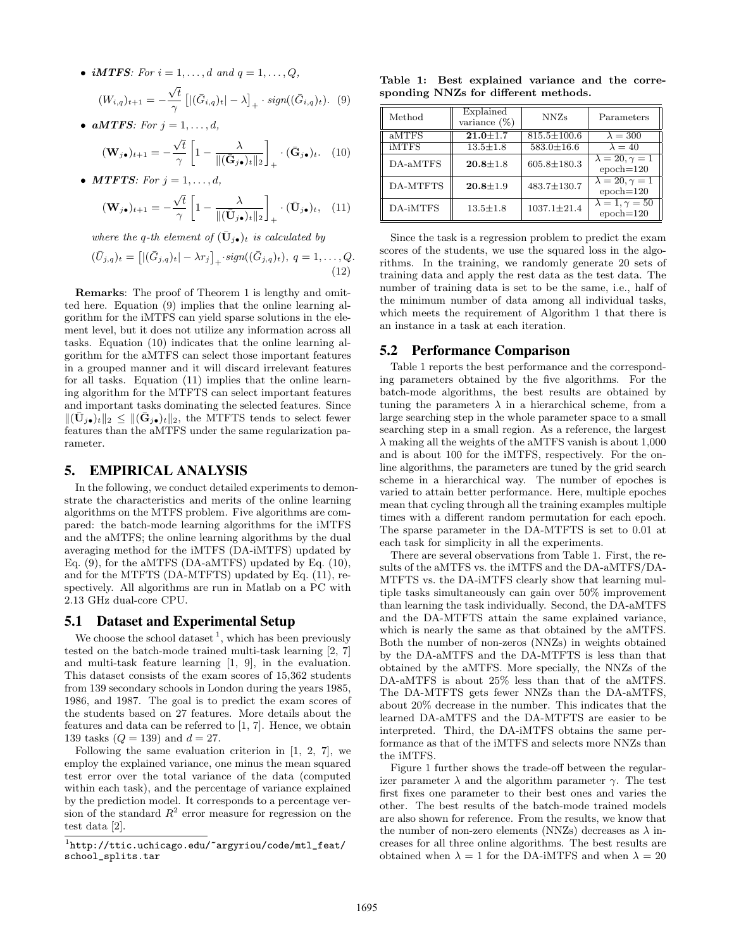• *iMTFS:* For 
$$
i = 1, ..., d
$$
 and  $q = 1, ..., Q$ ,  
\n
$$
(W_{i,q})_{t+1} = -\frac{\sqrt{t}}{\gamma} \left[ |(\bar{G}_{i,q})_t| - \lambda \right]_+ \cdot sign((\bar{G}_{i,q})_t). \quad (9)
$$

$$
\gamma \prod_{\{1\} \subset i, q_{j} \in [1, \ldots, d\}} \gamma \prod_{i=1, \ldots, d}
$$

$$
(\mathbf{W}_{j\bullet})_{t+1} = -\frac{\sqrt{t}}{\gamma} \left[ 1 - \frac{\lambda}{\| (\bar{\mathbf{G}}_{j\bullet})_t \|_2} \right]_+ \cdot (\bar{\mathbf{G}}_{j\bullet})_t. \quad (10)
$$

• **MTFTS**: For  $j = 1, \ldots, d$ ,

$$
(\mathbf{W}_{j\bullet})_{t+1} = -\frac{\sqrt{t}}{\gamma} \left[ 1 - \frac{\lambda}{\| (\bar{\mathbf{U}}_{j\bullet})_t \|_2} \right]_+ \cdot (\bar{\mathbf{U}}_{j\bullet})_t, \quad (11)
$$

where the q-th element of  $(\bar{\mathbf{U}}_{j\bullet})_t$  is calculated by

$$
(\bar{U}_{j,q})_t = [|(\bar{G}_{j,q})_t| - \lambda r_j]_+ \cdot sign((\bar{G}_{j,q})_t), q = 1, \ldots, Q.
$$
\n(12)

Remarks: The proof of Theorem 1 is lengthy and omitted here. Equation (9) implies that the online learning algorithm for the iMTFS can yield sparse solutions in the element level, but it does not utilize any information across all tasks. Equation (10) indicates that the online learning algorithm for the aMTFS can select those important features in a grouped manner and it will discard irrelevant features for all tasks. Equation (11) implies that the online learning algorithm for the MTFTS can select important features and important tasks dominating the selected features. Since  $\|(\bar{\mathbf{U}}_{i\bullet})_t\|_2 \leq \|(\bar{\mathbf{G}}_{i\bullet})_t\|_2$ , the MTFTS tends to select fewer features than the aMTFS under the same regularization parameter.

#### 5. EMPIRICAL ANALYSIS

In the following, we conduct detailed experiments to demonstrate the characteristics and merits of the online learning algorithms on the MTFS problem. Five algorithms are compared: the batch-mode learning algorithms for the iMTFS and the aMTFS; the online learning algorithms by the dual averaging method for the iMTFS (DA-iMTFS) updated by Eq. (9), for the aMTFS (DA-aMTFS) updated by Eq. (10), and for the MTFTS (DA-MTFTS) updated by Eq. (11), respectively. All algorithms are run in Matlab on a PC with 2.13 GHz dual-core CPU.

#### 5.1 Dataset and Experimental Setup

We choose the school dataset  $\frac{1}{1}$ , which has been previously tested on the batch-mode trained multi-task learning [2, 7] and multi-task feature learning [1, 9], in the evaluation. This dataset consists of the exam scores of 15,362 students from 139 secondary schools in London during the years 1985, 1986, and 1987. The goal is to predict the exam scores of the students based on 27 features. More details about the features and data can be referred to [1, 7]. Hence, we obtain 139 tasks  $(Q = 139)$  and  $d = 27$ .

Following the same evaluation criterion in [1, 2, 7], we employ the explained variance, one minus the mean squared test error over the total variance of the data (computed within each task), and the percentage of variance explained by the prediction model. It corresponds to a percentage version of the standard  $R^2$  error measure for regression on the test data [2].

Table 1: Best explained variance and the corresponding NNZs for different methods.

| Method       | Explained<br>variance $(\%)$ | NNZ <sub>s</sub>  | Parameters                                  |
|--------------|------------------------------|-------------------|---------------------------------------------|
| aMTFS        | $21.0 \pm 1.7$               | $815.5 \pm 100.6$ | $\lambda = 300$                             |
| <b>iMTFS</b> | $13.5 \pm 1.8$               | $583.0 \pm 16.6$  | $\lambda = 40$                              |
| DA-aMTFS     | $20.8 + 1.8$                 | $605.8 \pm 180.3$ | $\lambda = 20, \gamma = 1$<br>$epoch = 120$ |
| DA-MTFTS     | $20.8 \pm 1.9$               | $483.7 \pm 130.7$ | $\lambda = 20, \gamma = 1$<br>$epoch = 120$ |
| DA-iMTFS     | $13.5 \pm 1.8$               | $1037.1 \pm 21.4$ | $\lambda = 1, \gamma = 50$<br>$epoch = 120$ |

Since the task is a regression problem to predict the exam scores of the students, we use the squared loss in the algorithms. In the training, we randomly generate 20 sets of training data and apply the rest data as the test data. The number of training data is set to be the same, i.e., half of the minimum number of data among all individual tasks, which meets the requirement of Algorithm 1 that there is an instance in a task at each iteration.

#### 5.2 Performance Comparison

Table 1 reports the best performance and the corresponding parameters obtained by the five algorithms. For the batch-mode algorithms, the best results are obtained by tuning the parameters  $\lambda$  in a hierarchical scheme, from a large searching step in the whole parameter space to a small searching step in a small region. As a reference, the largest  $\lambda$  making all the weights of the aMTFS vanish is about 1,000 and is about 100 for the iMTFS, respectively. For the online algorithms, the parameters are tuned by the grid search scheme in a hierarchical way. The number of epoches is varied to attain better performance. Here, multiple epoches mean that cycling through all the training examples multiple times with a different random permutation for each epoch. The sparse parameter in the DA-MTFTS is set to 0.01 at each task for simplicity in all the experiments.

There are several observations from Table 1. First, the results of the aMTFS vs. the iMTFS and the DA-aMTFS/DA-MTFTS vs. the DA-iMTFS clearly show that learning multiple tasks simultaneously can gain over 50% improvement than learning the task individually. Second, the DA-aMTFS and the DA-MTFTS attain the same explained variance, which is nearly the same as that obtained by the aMTFS. Both the number of non-zeros (NNZs) in weights obtained by the DA-aMTFS and the DA-MTFTS is less than that obtained by the aMTFS. More specially, the NNZs of the DA-aMTFS is about 25% less than that of the aMTFS. The DA-MTFTS gets fewer NNZs than the DA-aMTFS, about 20% decrease in the number. This indicates that the learned DA-aMTFS and the DA-MTFTS are easier to be interpreted. Third, the DA-iMTFS obtains the same performance as that of the iMTFS and selects more NNZs than the iMTFS.

Figure 1 further shows the trade-off between the regularizer parameter  $\lambda$  and the algorithm parameter  $\gamma$ . The test first fixes one parameter to their best ones and varies the other. The best results of the batch-mode trained models are also shown for reference. From the results, we know that the number of non-zero elements (NNZs) decreases as  $\lambda$  increases for all three online algorithms. The best results are obtained when  $\lambda = 1$  for the DA-iMTFS and when  $\lambda = 20$ 

<sup>1</sup> http://ttic.uchicago.edu/˜argyriou/code/mtl\_feat/ school\_splits.tar